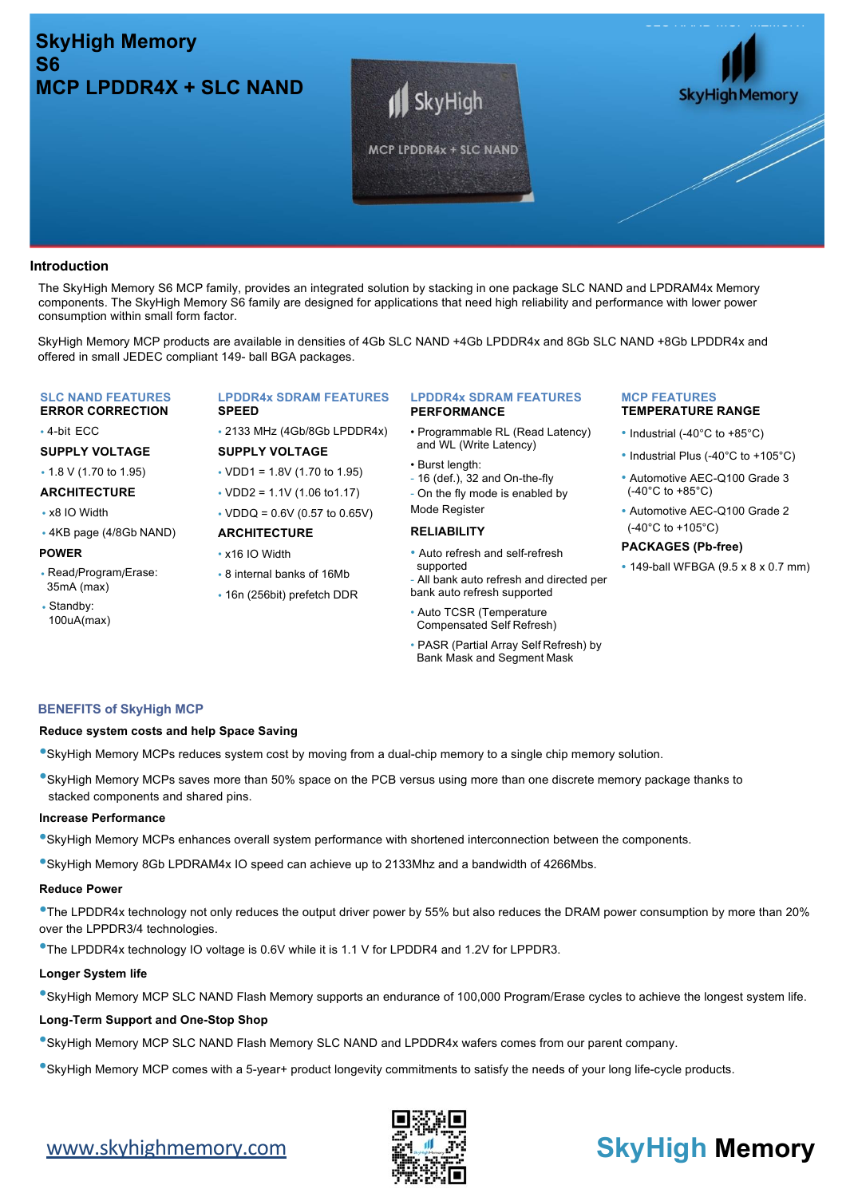# **SkyHigh Memory S6 MCP LPDDR4X + SLC NAND**





## **Introduction**

The SkyHigh Memory S6 MCP family, provides an integrated solution by stacking in one package SLC NAND and LPDRAM4x Memory components. The SkyHigh Memory S6 family are designed for applications that need high reliability and performance with lower power consumption within small form factor.

SkyHigh Memory MCP products are available in densities of 4Gb SLC NAND +4Gb LPDDR4x and 8Gb SLC NAND +8Gb LPDDR4x and offered in small JEDEC compliant 149- ball BGA packages.

#### **SLC NAND FEATURES ERROR CORRECTION**

• 4-bit ECC

# **SUPPLY VOLTAGE**

- 1.8 V (1.70 to 1.95)
- **ARCHITECTURE**
- x8 IO Width
- 4KB page (4/8Gb NAND)

#### **POWER**

- Read/Program/Erase: 35mA (max)
- Standby: 100uA(max)

#### **LPDDR4x SDRAM FEATURES SPEED**

• 2133 MHz (4Gb/8Gb LPDDR4x)

# **SUPPLY VOLTAGE** • VDD1 = 1.8V (1.70 to 1.95)

- VDD2 = 1.1V (1.06 to1.17)
- $\cdot$  VDDQ = 0.6V (0.57 to 0.65V)

# **ARCHITECTURE**

- x16 IO Width
- 8 internal banks of 16Mb
- 16n (256bit) prefetch DDR

#### **LPDDR4x SDRAM FEATURES PERFORMANCE**

- Programmable RL (Read Latency) and WL (Write Latency)
- Burst length:
- 16 (def.), 32 and On-the-fly
- On the fly mode is enabled by
- Mode Register

# **RELIABILITY**

- Auto refresh and self-refresh supported
- All bank auto refresh and directed per bank auto refresh supported
- Auto TCSR (Temperature Compensated Self Refresh)
- PASR (Partial Array Self Refresh) by Bank Mask and Segment Mask

# **BENEFITS of SkyHigh MCP**

#### **Reduce system costs and help Space Saving**

- •SkyHigh Memory MCPs reduces system cost by moving from a dual-chip memory to a single chip memory solution.
- •SkyHigh Memory MCPs saves more than 50% space on the PCB versus using more than one discrete memory package thanks to stacked components and shared pins.

#### **Increase Performance**

- •SkyHigh Memory MCPs enhances overall system performance with shortened interconnection between the components.
- •SkyHigh Memory 8Gb LPDRAM4x IO speed can achieve up to 2133Mhz and a bandwidth of 4266Mbs.

#### **Reduce Power**

•The LPDDR4x technology not only reduces the output driver power by 55% but also reduces the DRAM power consumption by more than 20% over the LPPDR3/4 technologies.

•The LPDDR4x technology IO voltage is 0.6V while it is 1.1 V for LPDDR4 and 1.2V for LPPDR3.

#### **Longer System life**

•SkyHigh Memory MCP SLC NAND Flash Memory supports an endurance of 100,000 Program/Erase cycles to achieve the longest system life.

#### **Long-Term Support and One-Stop Shop**

- •SkyHigh Memory MCP SLC NAND Flash Memory SLC NAND and LPDDR4x wafers comes from our parent company.
- •SkyHigh Memory MCP comes with a 5-year+ product longevity commitments to satisfy the needs of your long life-cycle products.



# **MCP FEATURES TEMPERATURE RANGE**

- Industrial (-40°C to +85°C)
- Industrial Plus (-40°C to +105°C)
- Automotive AEC-Q100 Grade 3 (-40°C to +85°C)
- Automotive AEC-Q100 Grade 2 (-40°C to +105°C)

#### **PACKAGES (Pb-free)**

• 149-ball WFBGA (9.5 x 8 x 0.7 mm)